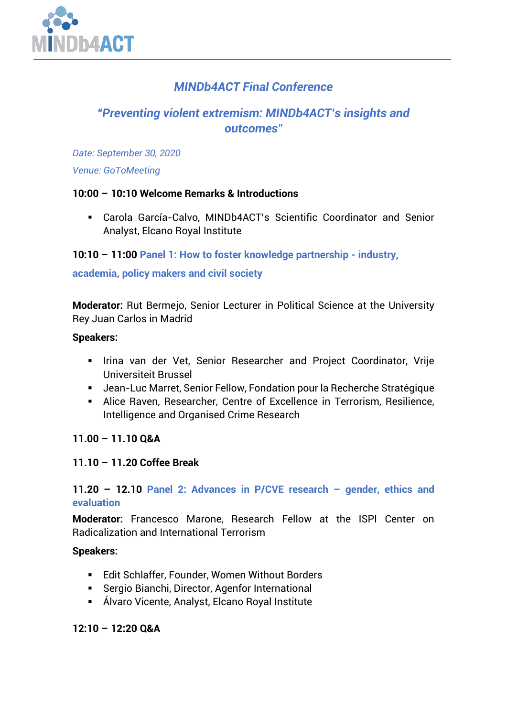

# *MINDb4ACT Final Conference*

# *"Preventing violent extremism: MINDb4ACT's insights and outcomes"*

*Date: September 30, 2020*

*Venue: GoToMeeting*

## **10:00 – 10:10 Welcome Remarks & Introductions**

▪ Carola García-Calvo, MINDb4ACT's Scientific Coordinator and Senior Analyst, Elcano Royal Institute

**10:10 – 11:00 Panel 1: How to foster knowledge partnership - industry,**

## **academia, policy makers and civil society**

**Moderator:** Rut Bermejo, Senior Lecturer in Political Science at the University Rey Juan Carlos in Madrid

#### **Speakers:**

- **.** Irina van der Vet, Senior Researcher and Project Coordinator, Vrije Universiteit Brussel
- Jean-Luc Marret, Senior Fellow, Fondation pour la Recherche Stratégique
- **EXEDEE ARIGE RAVEN, Researcher, Centre of Excellence in Terrorism, Resilience,** Intelligence and Organised Crime Research

## **11.00 – 11.10 Q&A**

## **11.10 – 11.20 Coffee Break**

**11.20 – 12.10 Panel 2: Advances in P/CVE research – gender, ethics and evaluation**

**Moderator:** Francesco Marone, Research Fellow at the ISPI Center on Radicalization and International Terrorism

**Speakers:** 

- Edit Schlaffer, Founder, Women Without Borders
- Sergio Bianchi, Director, Agenfor International
- Álvaro Vicente, Analyst, Elcano Royal Institute

**12:10 – 12:20 Q&A**